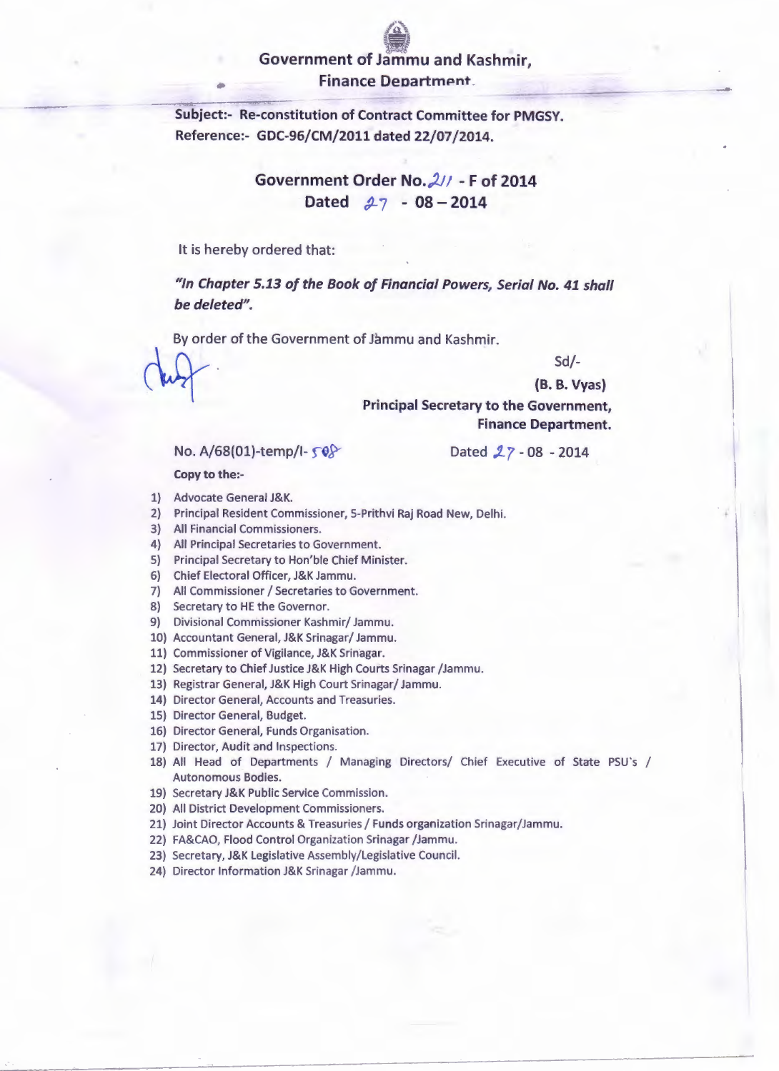## **Government of Jammu and Kashmir, Finance Department.**

**Subject:- Re-constitution of Contract Committee for PMGSY. Reference:- GDC-96/CM/2011 dated 22/07 /2014.** 

> Government Order No. 211 - F of 2014 Dated  $27 - 08 - 2014$

It is hereby ordered that:

**"In Chapter 5.13 of the Book of Financial Powers, Serial No. 41 shall be deleted".** 

By order of the Government of Jammu and Kashmir.

Sd/-

**(B. B. Vyas)** 

**Principal Secretary to the Government, Finance Department.** 

No. A/68(01)-temp/l-  $\sqrt{8}$ 

Dated  $27 - 08 - 2014$ 

**Copy to the:-**

- 1} Advocate General J&K.
- 2) Principal Resident Commissioner, 5-Prithvi Raj Road New, Delhi.
- 3} All Financial Commissioners.
- 4) All Principal Secretaries to Government.
- 5) Principal Secretary to Hon'ble Chief Minister.
- 6) Chief Electoral Officer, J&K Jammu.
- 7) All Commissioner / Secretaries to Government.
- 8) Secretary to HE the Governor.
- 9) Divisional Commissioner Kashmir/ Jammu.
- 10) Accountant General, J&K Srinagar/ Jammu.
- 11) Commissioner of Vigilance, J&K Srinagar.
- 12) Secretary to Chief Justice J&K High Courts Srinagar /Jammu.
- 13) Registrar General, J&K High Court Srinagar/ Jammu.
- 14) Director General, Accounts and Treasuries.
- 15} Director General, Budget.
- 16) Director General, Funds Organisation.
- 17) Director, Audit and Inspections.
- 18) All Head of Departments / Managing Directors/ Chief Executive of State PSU's / Autonomous Bodies.
- 19) Secretary J&K Public Service Commission.
- 20) All District Development Commissioners.
- 21) Joint Director Accounts & Treasuries / Funds organization Srinagar/Jammu.
- 22} FA&CAO, Flood Control Organization Srinagar /Jammu.

23) Secretary, J&K Legislative Assembly/Legislative Council.

24) Director Information J&K Srinagar /Jammu.